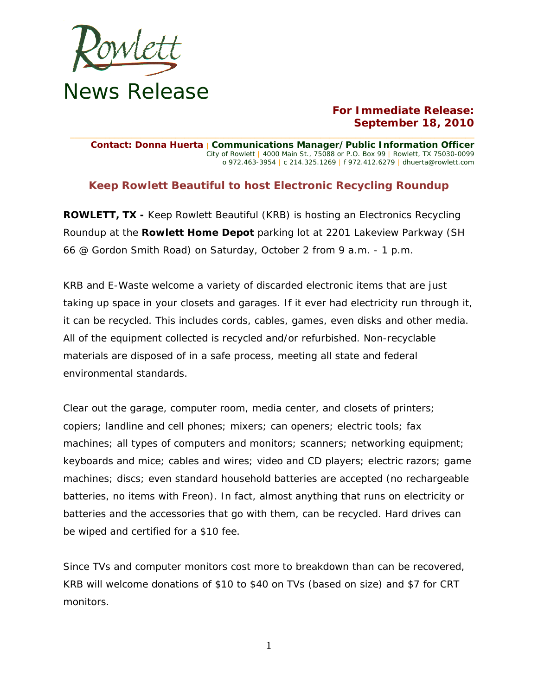

## **For Immediate Release: September 18, 2010**

**\_\_\_\_\_\_\_\_\_\_\_\_\_\_\_\_\_\_\_\_\_\_\_\_\_\_\_\_\_\_\_\_\_\_\_\_\_\_\_\_\_\_\_\_\_\_\_\_\_\_\_\_\_\_\_\_\_\_\_\_\_\_\_\_\_\_\_\_\_\_\_\_\_\_\_\_\_\_\_\_\_\_\_\_\_\_\_\_\_\_\_\_ Contact: Donna Huerta** | **Communications Manager/Public Information Officer** City of Rowlett | 4000 Main St., 75088 or P.O. Box 99 | Rowlett, TX 75030-0099 o 972.463-3954 | c 214.325.1269 | f 972.412.6279 | dhuerta@rowlett.com

## **Keep Rowlett Beautiful to host Electronic Recycling Roundup**

**ROWLETT, TX -** Keep Rowlett Beautiful (KRB) is hosting an Electronics Recycling Roundup at the **Rowlett Home Depot** parking lot at 2201 Lakeview Parkway (SH 66 @ Gordon Smith Road) on Saturday, October 2 from 9 a.m. - 1 p.m.

KRB and E-Waste welcome a variety of discarded electronic items that are just taking up space in your closets and garages. If it ever had electricity run through it, it can be recycled. This includes cords, cables, games, even disks and other media. All of the equipment collected is recycled and/or refurbished. Non-recyclable materials are disposed of in a safe process, meeting all state and federal environmental standards.

Clear out the garage, computer room, media center, and closets of printers; copiers; landline and cell phones; mixers; can openers; electric tools; fax machines; all types of computers and monitors; scanners; networking equipment; keyboards and mice; cables and wires; video and CD players; electric razors; game machines; discs; even standard household batteries are accepted (no rechargeable batteries, no items with Freon). In fact, almost anything that runs on electricity or batteries and the accessories that go with them, can be recycled. Hard drives can be wiped and certified for a \$10 fee.

Since TVs and computer monitors cost more to breakdown than can be recovered, KRB will welcome donations of \$10 to \$40 on TVs (based on size) and \$7 for CRT monitors.

1